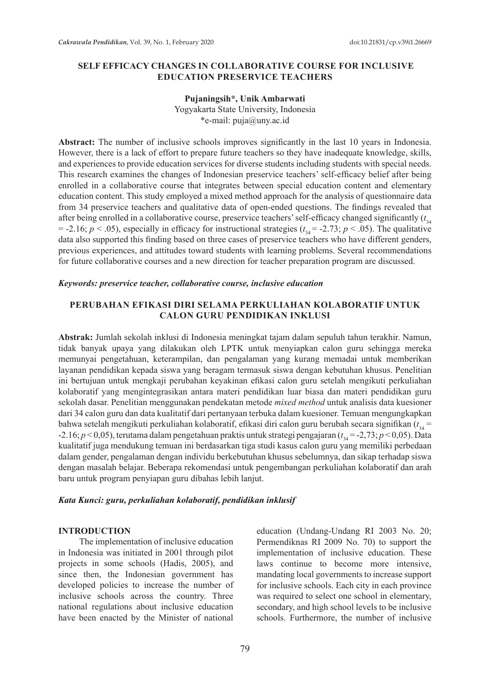### **SELF EFFICACY CHANGES IN COLLABORATIVE COURSE FOR INCLUSIVE EDUCATION PRESERVICE TEACHERS**

### **Pujaningsih\*, Unik Ambarwati**

Yogyakarta State University, Indonesia \*e-mail: puja@uny.ac.id

**Abstract:** The number of inclusive schools improves significantly in the last 10 years in Indonesia. However, there is a lack of effort to prepare future teachers so they have inadequate knowledge, skills, and experiences to provide education services for diverse students including students with special needs. This research examines the changes of Indonesian preservice teachers' self-efficacy belief after being enrolled in a collaborative course that integrates between special education content and elementary education content. This study employed a mixed method approach for the analysis of questionnaire data from 34 preservice teachers and qualitative data of open-ended questions. The findings revealed that after being enrolled in a collaborative course, preservice teachers' self-efficacy changed significantly ( $t_{34}$ )  $= -2.16$ ;  $p < .05$ ), especially in efficacy for instructional strategies ( $t_{34} = -2.73$ ;  $p < .05$ ). The qualitative data also supported this finding based on three cases of preservice teachers who have different genders, previous experiences, and attitudes toward students with learning problems. Several recommendations for future collaborative courses and a new direction for teacher preparation program are discussed.

#### *Keywords: preservice teacher, collaborative course, inclusive education*

## **PERUBAHAN EFIKASI DIRI SELAMA PERKULIAHAN KOLABORATIF UNTUK CALON GURU PENDIDIKAN INKLUSI**

**Abstrak:** Jumlah sekolah inklusi di Indonesia meningkat tajam dalam sepuluh tahun terakhir. Namun, tidak banyak upaya yang dilakukan oleh LPTK untuk menyiapkan calon guru sehingga mereka memunyai pengetahuan, keterampilan, dan pengalaman yang kurang memadai untuk memberikan layanan pendidikan kepada siswa yang beragam termasuk siswa dengan kebutuhan khusus. Penelitian ini bertujuan untuk mengkaji perubahan keyakinan efikasi calon guru setelah mengikuti perkuliahan kolaboratif yang mengintegrasikan antara materi pendidikan luar biasa dan materi pendidikan guru sekolah dasar. Penelitian menggunakan pendekatan metode *mixed method* untuk analisis data kuesioner dari 34 calon guru dan data kualitatif dari pertanyaan terbuka dalam kuesioner. Temuan mengungkapkan bahwa setelah mengikuti perkuliahan kolaboratif, efikasi diri calon guru berubah secara signifikan (*t* 34 = -2.16; *p* < 0,05), terutama dalam pengetahuan praktis untuk strategi pengajaran (*t* <sup>34</sup> = -2,73; *p* < 0,05). Data kualitatif juga mendukung temuan ini berdasarkan tiga studi kasus calon guru yang memiliki perbedaan dalam gender, pengalaman dengan individu berkebutuhan khusus sebelumnya, dan sikap terhadap siswa dengan masalah belajar. Beberapa rekomendasi untuk pengembangan perkuliahan kolaboratif dan arah baru untuk program penyiapan guru dibahas lebih lanjut.

### *Kata Kunci: guru, perkuliahan kolaboratif, pendidikan inklusif*

#### **INTRODUCTION**

The implementation of inclusive education in Indonesia was initiated in 2001 through pilot projects in some schools (Hadis, 2005), and since then, the Indonesian government has developed policies to increase the number of inclusive schools across the country. Three national regulations about inclusive education have been enacted by the Minister of national education (Undang-Undang RI 2003 No. 20; Permendiknas RI 2009 No. 70) to support the implementation of inclusive education. These laws continue to become more intensive, mandating local governments to increase support for inclusive schools. Each city in each province was required to select one school in elementary, secondary, and high school levels to be inclusive schools. Furthermore, the number of inclusive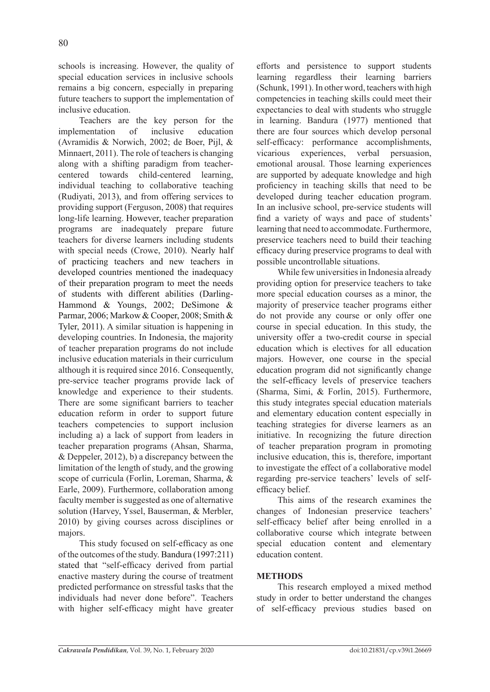schools is increasing. However, the quality of special education services in inclusive schools remains a big concern, especially in preparing future teachers to support the implementation of inclusive education.

Teachers are the key person for the implementation of inclusive education (Avramidis & Norwich, 2002; de Boer, Pijl, & Minnaert, 2011). The role of teachers is changing along with a shifting paradigm from teachercentered towards child-centered learning, individual teaching to collaborative teaching (Rudiyati, 2013), and from offering services to providing support (Ferguson, 2008) that requires long-life learning. However, teacher preparation programs are inadequately prepare future teachers for diverse learners including students with special needs (Crowe, 2010). Nearly half of practicing teachers and new teachers in developed countries mentioned the inadequacy of their preparation program to meet the needs of students with different abilities (Darling-Hammond & Youngs, 2002; DeSimone & Parmar, 2006; Markow & Cooper, 2008; Smith & Tyler, 2011). A similar situation is happening in developing countries. In Indonesia, the majority of teacher preparation programs do not include inclusive education materials in their curriculum although it is required since 2016. Consequently, pre-service teacher programs provide lack of knowledge and experience to their students. There are some significant barriers to teacher education reform in order to support future teachers competencies to support inclusion including a) a lack of support from leaders in teacher preparation programs (Ahsan, Sharma, & Deppeler, 2012), b) a discrepancy between the limitation of the length of study, and the growing scope of curricula (Forlin, Loreman, Sharma, & Earle, 2009). Furthermore, collaboration among faculty member is suggested as one of alternative solution (Harvey, Yssel, Bauserman, & Merbler, 2010) by giving courses across disciplines or majors.

This study focused on self-efficacy as one of the outcomes of the study. Bandura (1997:211) stated that "self-efficacy derived from partial enactive mastery during the course of treatment predicted performance on stressful tasks that the individuals had never done before". Teachers with higher self-efficacy might have greater efforts and persistence to support students learning regardless their learning barriers (Schunk, 1991). In other word, teachers with high competencies in teaching skills could meet their expectancies to deal with students who struggle in learning. Bandura (1977) mentioned that there are four sources which develop personal self-efficacy: performance accomplishments, vicarious experiences, verbal persuasion, emotional arousal. Those learning experiences are supported by adequate knowledge and high proficiency in teaching skills that need to be developed during teacher education program. In an inclusive school, pre-service students will find a variety of ways and pace of students' learning that need to accommodate. Furthermore, preservice teachers need to build their teaching efficacy during preservice programs to deal with possible uncontrollable situations.

While few universities in Indonesia already providing option for preservice teachers to take more special education courses as a minor, the majority of preservice teacher programs either do not provide any course or only offer one course in special education. In this study, the university offer a two-credit course in special education which is electives for all education majors. However, one course in the special education program did not significantly change the self-efficacy levels of preservice teachers (Sharma, Simi, & Forlin, 2015). Furthermore, this study integrates special education materials and elementary education content especially in teaching strategies for diverse learners as an initiative. In recognizing the future direction of teacher preparation program in promoting inclusive education, this is, therefore, important to investigate the effect of a collaborative model regarding pre-service teachers' levels of selfefficacy belief.

This aims of the research examines the changes of Indonesian preservice teachers' self-efficacy belief after being enrolled in a collaborative course which integrate between special education content and elementary education content.

## **METHODS**

This research employed a mixed method study in order to better understand the changes of self-efficacy previous studies based on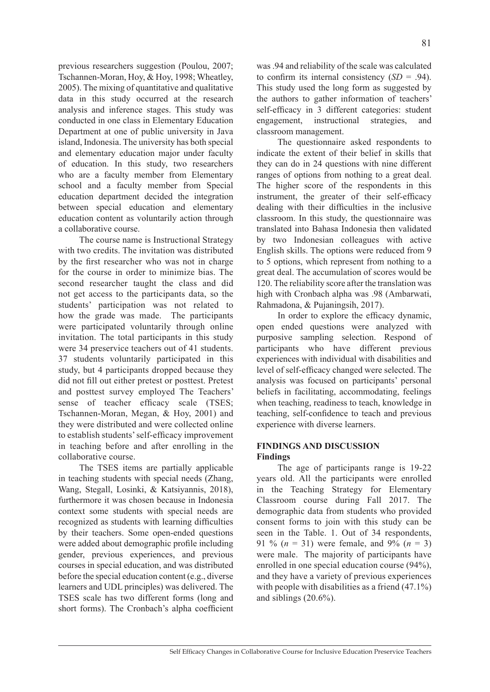previous researchers suggestion (Poulou, 2007; Tschannen-Moran, Hoy, & Hoy, 1998; Wheatley, 2005). The mixing of quantitative and qualitative data in this study occurred at the research analysis and inference stages. This study was conducted in one class in Elementary Education Department at one of public university in Java island, Indonesia. The university has both special and elementary education major under faculty of education. In this study, two researchers who are a faculty member from Elementary school and a faculty member from Special education department decided the integration between special education and elementary education content as voluntarily action through a collaborative course.

The course name is Instructional Strategy with two credits. The invitation was distributed by the first researcher who was not in charge for the course in order to minimize bias. The second researcher taught the class and did not get access to the participants data, so the students' participation was not related to how the grade was made. The participants were participated voluntarily through online invitation. The total participants in this study were 34 preservice teachers out of 41 students. 37 students voluntarily participated in this study, but 4 participants dropped because they did not fill out either pretest or posttest. Pretest and posttest survey employed The Teachers' sense of teacher efficacy scale (TSES; Tschannen-Moran, Megan, & Hoy, 2001) and they were distributed and were collected online to establish students' self-efficacy improvement in teaching before and after enrolling in the collaborative course.

The TSES items are partially applicable in teaching students with special needs (Zhang, Wang, Stegall, Losinki, & Katsiyannis, 2018), furthermore it was chosen because in Indonesia context some students with special needs are recognized as students with learning difficulties by their teachers. Some open-ended questions were added about demographic profile including gender, previous experiences, and previous courses in special education, and was distributed before the special education content (e.g., diverse learners and UDL principles) was delivered. The TSES scale has two different forms (long and short forms). The Cronbach's alpha coefficient was .94 and reliability of the scale was calculated to confirm its internal consistency (*SD* = .94). This study used the long form as suggested by the authors to gather information of teachers' self-efficacy in 3 different categories: student engagement, instructional strategies, and classroom management.

The questionnaire asked respondents to indicate the extent of their belief in skills that they can do in 24 questions with nine different ranges of options from nothing to a great deal. The higher score of the respondents in this instrument, the greater of their self-efficacy dealing with their difficulties in the inclusive classroom. In this study, the questionnaire was translated into Bahasa Indonesia then validated by two Indonesian colleagues with active English skills. The options were reduced from 9 to 5 options, which represent from nothing to a great deal. The accumulation of scores would be 120. The reliability score after the translation was high with Cronbach alpha was .98 (Ambarwati, Rahmadona, & Pujaningsih, 2017).

In order to explore the efficacy dynamic, open ended questions were analyzed with purposive sampling selection. Respond of participants who have different previous experiences with individual with disabilities and level of self-efficacy changed were selected. The analysis was focused on participants' personal beliefs in facilitating, accommodating, feelings when teaching, readiness to teach, knowledge in teaching, self-confidence to teach and previous experience with diverse learners.

## **FINDINGS AND DISCUSSION Findings**

The age of participants range is 19-22 years old. All the participants were enrolled in the Teaching Strategy for Elementary Classroom course during Fall 2017. The demographic data from students who provided consent forms to join with this study can be seen in the Table. 1. Out of 34 respondents, 91 % (*n* = 31) were female, and 9% (*n* = 3) were male. The majority of participants have enrolled in one special education course (94%), and they have a variety of previous experiences with people with disabilities as a friend  $(47.1\%)$ and siblings (20.6%).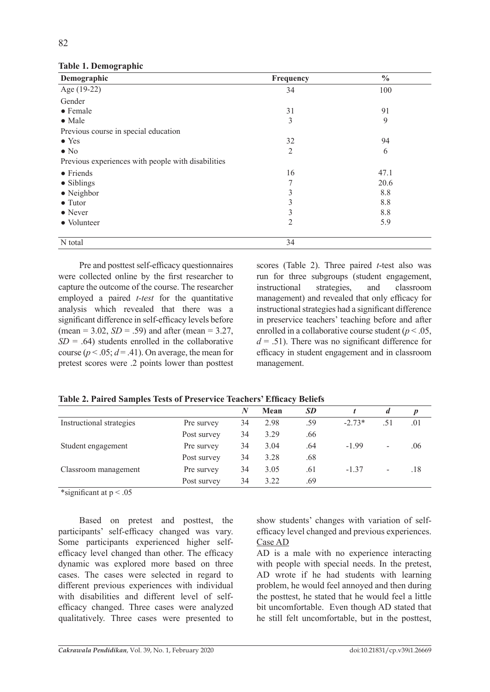| Demographic                                        | Frequency      | $\frac{0}{0}$<br>100 |  |
|----------------------------------------------------|----------------|----------------------|--|
| Age (19-22)                                        | 34             |                      |  |
| Gender                                             |                |                      |  |
| $\bullet$ Female                                   | 31             | 91                   |  |
| $\bullet$ Male                                     | 3              | 9                    |  |
| Previous course in special education               |                |                      |  |
| $\bullet$ Yes                                      | 32             | 94                   |  |
| $\bullet$ No                                       | $\overline{2}$ | 6                    |  |
| Previous experiences with people with disabilities |                |                      |  |
| $\bullet$ Friends                                  | 16             | 47.1                 |  |
| $\bullet$ Siblings                                 | 7              | 20.6                 |  |
| $\bullet$ Neighbor                                 | 3              | 8.8                  |  |
| $\bullet$ Tutor                                    | 3              | 8.8                  |  |
| $\bullet$ Never                                    | 3              | 8.8                  |  |
| • Volunteer                                        | $\overline{2}$ | 5.9                  |  |
| N total                                            | 34             |                      |  |

## **Table 1. Demographic**

Pre and posttest self-efficacy questionnaires were collected online by the first researcher to capture the outcome of the course. The researcher employed a paired *t-test* for the quantitative analysis which revealed that there was a significant difference in self-efficacy levels before (mean =  $3.02$ , *SD* = .59) and after (mean =  $3.27$ ,  $SD = .64$ ) students enrolled in the collaborative course ( $p < .05$ ;  $d = .41$ ). On average, the mean for pretest scores were .2 points lower than posttest

scores (Table 2). Three paired *t*-test also was run for three subgroups (student engagement, instructional strategies, and classroom management) and revealed that only efficacy for instructional strategies had a significant difference in preservice teachers' teaching before and after enrolled in a collaborative course student (*p* < .05,  $d = .51$ ). There was no significant difference for efficacy in student engagement and in classroom management.

|                          |             | N  | Mean | <b>SD</b> |          | $\boldsymbol{d}$ | p   |
|--------------------------|-------------|----|------|-----------|----------|------------------|-----|
| Instructional strategies | Pre survey  | 34 | 2.98 | .59       | $-2.73*$ | .51              | .01 |
|                          | Post survey | 34 | 3.29 | .66       |          |                  |     |
| Student engagement       | Pre survey  | 34 | 3.04 | .64       | $-1.99$  | -                | .06 |
|                          | Post survey | 34 | 3.28 | .68       |          |                  |     |
| Classroom management     | Pre survey  | 34 | 3.05 | .61       | $-1.37$  | -                | .18 |
|                          | Post survey | 34 | 3.22 | .69       |          |                  |     |

**Table 2. Paired Samples Tests of Preservice Teachers' Efficacy Beliefs** 

\*significant at  $p < .05$ 

Based on pretest and posttest, the participants' self-efficacy changed was vary. Some participants experienced higher selfefficacy level changed than other. The efficacy dynamic was explored more based on three cases. The cases were selected in regard to different previous experiences with individual with disabilities and different level of selfefficacy changed. Three cases were analyzed qualitatively. Three cases were presented to show students' changes with variation of selfefficacy level changed and previous experiences. Case AD

AD is a male with no experience interacting with people with special needs. In the pretest, AD wrote if he had students with learning problem, he would feel annoyed and then during the posttest, he stated that he would feel a little bit uncomfortable. Even though AD stated that he still felt uncomfortable, but in the posttest,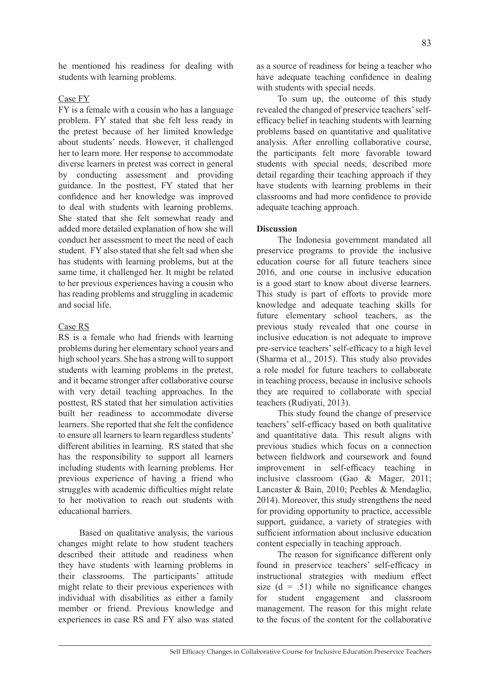he mentioned his readiness for dealing with students with learning problems.

# Case FY

FY is a female with a cousin who has a language problem. FY stated that she felt less ready in the pretest because of her limited knowledge about students' needs. However, it challenged her to learn more. Her response to accommodate diverse learners in pretest was correct in general by conducting assessment and providing guidance. In the posttest, FY stated that her confidence and her knowledge was improved to deal with students with learning problems. She stated that she felt somewhat ready and added more detailed explanation of how she will conduct her assessment to meet the need of each student. FY also stated that she felt sad when she has students with learning problems, but at the same time, it challenged her. It might be related to her previous experiences having a cousin who has reading problems and struggling in academic and social life.

# Case RS

RS is a female who had friends with learning problems during her elementary school years and high school years. She has a strong will to support students with learning problems in the pretest, and it became stronger after collaborative course with very detail teaching approaches. In the posttest, RS stated that her simulation activities built her readiness to accommodate diverse learners. She reported that she felt the confidence to ensure all learners to learn regardless students' different abilities in learning. RS stated that she has the responsibility to support all learners including students with learning problems. Her previous experience of having a friend who struggles with academic difficulties might relate to her motivation to reach out students with educational barriers.

Based on qualitative analysis, the various changes might relate to how student teachers described their attitude and readiness when they have students with learning problems in their classrooms. The participants' attitude might relate to their previous experiences with individual with disabilities as either a family member or friend. Previous knowledge and experiences in case RS and FY also was stated

as a source of readiness for being a teacher who have adequate teaching confidence in dealing with students with special needs.

To sum up, the outcome of this study revealed the changed of preservice teachers' selfefficacy belief in teaching students with learning problems based on quantitative and qualitative analysis. After enrolling collaborative course, the participants felt more favorable toward students with special needs, described more detail regarding their teaching approach if they have students with learning problems in their classrooms and had more confidence to provide adequate teaching approach.

# **Discussion**

The Indonesia government mandated all preservice programs to provide the inclusive education course for all future teachers since 2016, and one course in inclusive education is a good start to know about diverse learners. This study is part of efforts to provide more knowledge and adequate teaching skills for future elementary school teachers, as the previous study revealed that one course in inclusive education is not adequate to improve pre-service teachers' self-efficacy to a high level (Sharma et al., 2015). This study also provides a role model for future teachers to collaborate in teaching process, because in inclusive schools they are required to collaborate with special teachers (Rudiyati, 2013).

This study found the change of preservice teachers' self-efficacy based on both qualitative and quantitative data. This result aligns with previous studies which focus on a connection between fieldwork and coursework and found improvement in self-efficacy teaching in inclusive classroom (Gao & Mager, 2011; Lancaster & Bain, 2010; Peebles & Mendaglio, 2014). Moreover, this study strengthens the need for providing opportunity to practice, accessible support, guidance, a variety of strategies with sufficient information about inclusive education content especially in teaching approach.

The reason for significance different only found in preservice teachers' self-efficacy in instructional strategies with medium effect size  $(d = .51)$  while no significance changes for student engagement and classroom management. The reason for this might relate to the focus of the content for the collaborative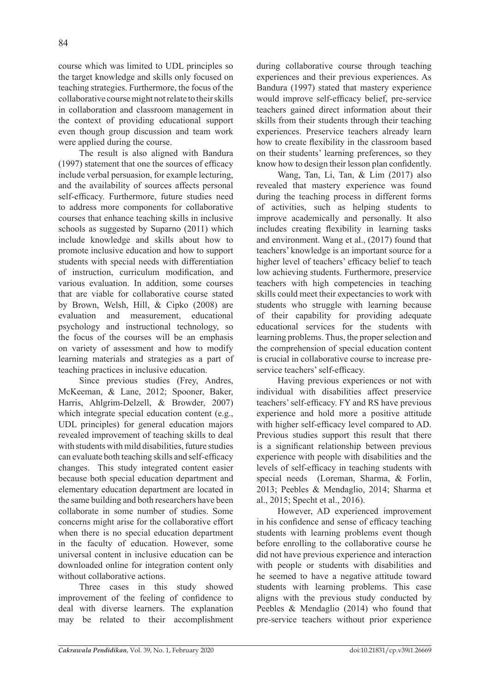course which was limited to UDL principles so the target knowledge and skills only focused on teaching strategies. Furthermore, the focus of the collaborative course might not relate to their skills in collaboration and classroom management in the context of providing educational support even though group discussion and team work were applied during the course.

The result is also aligned with Bandura (1997) statement that one the sources of efficacy include verbal persuasion, for example lecturing, and the availability of sources affects personal self-efficacy. Furthermore, future studies need to address more components for collaborative courses that enhance teaching skills in inclusive schools as suggested by Suparno (2011) which include knowledge and skills about how to promote inclusive education and how to support students with special needs with differentiation of instruction, curriculum modification, and various evaluation. In addition, some courses that are viable for collaborative course stated by Brown, Welsh, Hill, & Cipko (2008) are evaluation and measurement, educational psychology and instructional technology, so the focus of the courses will be an emphasis on variety of assessment and how to modify learning materials and strategies as a part of teaching practices in inclusive education.

Since previous studies (Frey, Andres, McKeeman, & Lane, 2012; Spooner, Baker, Harris, Ahlgrim-Delzell, & Browder, 2007) which integrate special education content (e.g., UDL principles) for general education majors revealed improvement of teaching skills to deal with students with mild disabilities, future studies can evaluate both teaching skills and self-efficacy changes. This study integrated content easier because both special education department and elementary education department are located in the same building and both researchers have been collaborate in some number of studies. Some concerns might arise for the collaborative effort when there is no special education department in the faculty of education. However, some universal content in inclusive education can be downloaded online for integration content only without collaborative actions.

Three cases in this study showed improvement of the feeling of confidence to deal with diverse learners. The explanation may be related to their accomplishment during collaborative course through teaching experiences and their previous experiences. As Bandura (1997) stated that mastery experience would improve self-efficacy belief, pre-service teachers gained direct information about their skills from their students through their teaching experiences. Preservice teachers already learn how to create flexibility in the classroom based on their students' learning preferences, so they know how to design their lesson plan confidently.

Wang, Tan, Li, Tan, & Lim (2017) also revealed that mastery experience was found during the teaching process in different forms of activities, such as helping students to improve academically and personally. It also includes creating flexibility in learning tasks and environment. Wang et al., (2017) found that teachers' knowledge is an important source for a higher level of teachers' efficacy belief to teach low achieving students. Furthermore, preservice teachers with high competencies in teaching skills could meet their expectancies to work with students who struggle with learning because of their capability for providing adequate educational services for the students with learning problems. Thus, the proper selection and the comprehension of special education content is crucial in collaborative course to increase preservice teachers' self-efficacy.

Having previous experiences or not with individual with disabilities affect preservice teachers' self-efficacy. FY and RS have previous experience and hold more a positive attitude with higher self-efficacy level compared to AD. Previous studies support this result that there is a significant relationship between previous experience with people with disabilities and the levels of self-efficacy in teaching students with special needs (Loreman, Sharma, & Forlin, 2013; Peebles & Mendaglio, 2014; Sharma et al., 2015; Specht et al., 2016).

However, AD experienced improvement in his confidence and sense of efficacy teaching students with learning problems event though before enrolling to the collaborative course he did not have previous experience and interaction with people or students with disabilities and he seemed to have a negative attitude toward students with learning problems. This case aligns with the previous study conducted by Peebles & Mendaglio (2014) who found that pre-service teachers without prior experience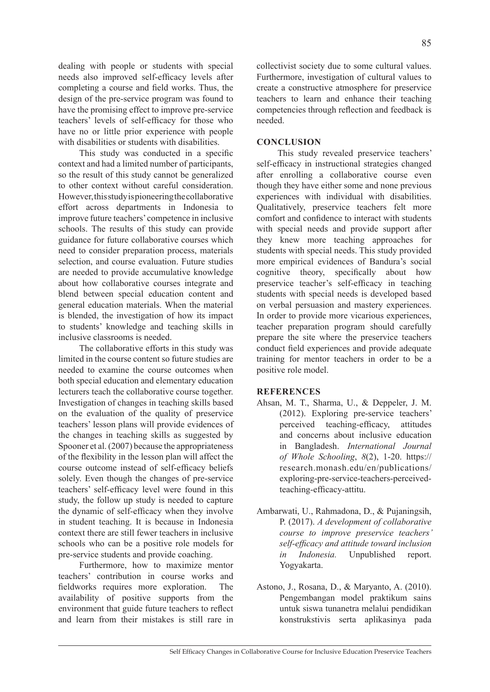dealing with people or students with special needs also improved self-efficacy levels after completing a course and field works. Thus, the design of the pre-service program was found to have the promising effect to improve pre-service teachers' levels of self-efficacy for those who have no or little prior experience with people with disabilities or students with disabilities.

This study was conducted in a specific context and had a limited number of participants, so the result of this study cannot be generalized to other context without careful consideration. However, this study is pioneering the collaborative effort across departments in Indonesia to improve future teachers' competence in inclusive schools. The results of this study can provide guidance for future collaborative courses which need to consider preparation process, materials selection, and course evaluation. Future studies are needed to provide accumulative knowledge about how collaborative courses integrate and blend between special education content and general education materials. When the material is blended, the investigation of how its impact to students' knowledge and teaching skills in inclusive classrooms is needed.

The collaborative efforts in this study was limited in the course content so future studies are needed to examine the course outcomes when both special education and elementary education lecturers teach the collaborative course together. Investigation of changes in teaching skills based on the evaluation of the quality of preservice teachers' lesson plans will provide evidences of the changes in teaching skills as suggested by Spooner et al. (2007) because the appropriateness of the flexibility in the lesson plan will affect the course outcome instead of self-efficacy beliefs solely. Even though the changes of pre-service teachers' self-efficacy level were found in this study, the follow up study is needed to capture the dynamic of self-efficacy when they involve in student teaching. It is because in Indonesia context there are still fewer teachers in inclusive schools who can be a positive role models for pre-service students and provide coaching.

Furthermore, how to maximize mentor teachers' contribution in course works and fieldworks requires more exploration. The availability of positive supports from the environment that guide future teachers to reflect and learn from their mistakes is still rare in collectivist society due to some cultural values. Furthermore, investigation of cultural values to create a constructive atmosphere for preservice teachers to learn and enhance their teaching competencies through reflection and feedback is needed.

## **CONCLUSION**

This study revealed preservice teachers' self-efficacy in instructional strategies changed after enrolling a collaborative course even though they have either some and none previous experiences with individual with disabilities. Qualitatively, preservice teachers felt more comfort and confidence to interact with students with special needs and provide support after they knew more teaching approaches for students with special needs. This study provided more empirical evidences of Bandura's social cognitive theory, specifically about how preservice teacher's self-efficacy in teaching students with special needs is developed based on verbal persuasion and mastery experiences. In order to provide more vicarious experiences, teacher preparation program should carefully prepare the site where the preservice teachers conduct field experiences and provide adequate training for mentor teachers in order to be a positive role model.

### **REFERENCES**

- Ahsan, M. T., Sharma, U., & Deppeler, J. M. (2012). Exploring pre-service teachers' perceived teaching-efficacy, attitudes and concerns about inclusive education in Bangladesh. *International Journal of Whole Schooling*, *8*(2), 1-20. https:// research.monash.edu/en/publications/ exploring-pre-service-teachers-perceivedteaching-efficacy-attitu.
- Ambarwati, U., Rahmadona, D., & Pujaningsih, P. (2017). *A development of collaborative course to improve preservice teachers' self-efficacy and attitude toward inclusion in Indonesia.* Unpublished report. Yogyakarta.
- Astono, J., Rosana, D., & Maryanto, A. (2010). Pengembangan model praktikum sains untuk siswa tunanetra melalui pendidikan konstrukstivis serta aplikasinya pada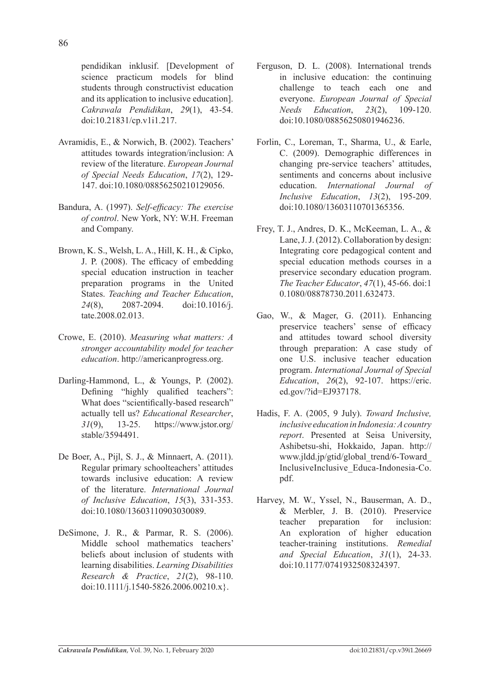pendidikan inklusif. [Development of science practicum models for blind students through constructivist education and its application to inclusive education]. *Cakrawala Pendidikan*, *29*(1), 43-54. doi:10.21831/cp.v1i1.217.

- Avramidis, E., & Norwich, B. (2002). Teachers' attitudes towards integration/inclusion: A review of the literature. *European Journal of Special Needs Education*, *17*(2), 129- 147. doi:10.1080/08856250210129056.
- Bandura, A. (1997). *Self-efficacy: The exercise of control*. New York, NY: W.H. Freeman and Company.
- Brown, K. S., Welsh, L. A., Hill, K. H., & Cipko, J. P. (2008). The efficacy of embedding special education instruction in teacher preparation programs in the United States. *Teaching and Teacher Education*, *24*(8), 2087-2094. doi:10.1016/j. tate.2008.02.013.
- Crowe, E. (2010). *Measuring what matters: A stronger accountability model for teacher education*. http://americanprogress.org.
- Darling-Hammond, L., & Youngs, P. (2002). Defining "highly qualified teachers": What does "scientifically-based research" actually tell us? *Educational Researcher*, *31*(9), 13-25. https://www.jstor.org/ stable/3594491.
- De Boer, A., Pijl, S. J., & Minnaert, A. (2011). Regular primary schoolteachers' attitudes towards inclusive education: A review of the literature. *International Journal of Inclusive Education*, *15*(3), 331-353. doi:10.1080/13603110903030089.
- DeSimone, J. R., & Parmar, R. S. (2006). Middle school mathematics teachers' beliefs about inclusion of students with learning disabilities. *Learning Disabilities Research & Practice*, *21*(2), 98-110. doi:10.1111/j.1540-5826.2006.00210.x}.
- Ferguson, D. L. (2008). International trends in inclusive education: the continuing challenge to teach each one and everyone. *European Journal of Special Needs Education*, *23*(2), 109-120. doi:10.1080/08856250801946236.
- Forlin, C., Loreman, T., Sharma, U., & Earle, C. (2009). Demographic differences in changing pre-service teachers' attitudes, sentiments and concerns about inclusive education. *International Journal of Inclusive Education*, *13*(2), 195-209. doi:10.1080/13603110701365356.
- Frey, T. J., Andres, D. K., McKeeman, L. A., & Lane, J. J. (2012). Collaboration by design: Integrating core pedagogical content and special education methods courses in a preservice secondary education program. *The Teacher Educator*, *47*(1), 45-66. doi:1 0.1080/08878730.2011.632473.
- Gao, W., & Mager, G. (2011). Enhancing preservice teachers' sense of efficacy and attitudes toward school diversity through preparation: A case study of one U.S. inclusive teacher education program. *International Journal of Special Education*, *26*(2), 92-107. https://eric. ed.gov/?id=EJ937178.
- Hadis, F. A. (2005, 9 July). *Toward Inclusive, inclusive education in Indonesia: A country report*. Presented at Seisa University, Ashibetsu-shi, Hokkaido, Japan. http:// www.jldd.jp/gtid/global\_trend/6-Toward\_ InclusiveInclusive Educa-Indonesia-Co. pdf.
- Harvey, M. W., Yssel, N., Bauserman, A. D., & Merbler, J. B. (2010). Preservice teacher preparation for inclusion: An exploration of higher education teacher-training institutions. *Remedial and Special Education*, *31*(1), 24-33. doi:10.1177/0741932508324397.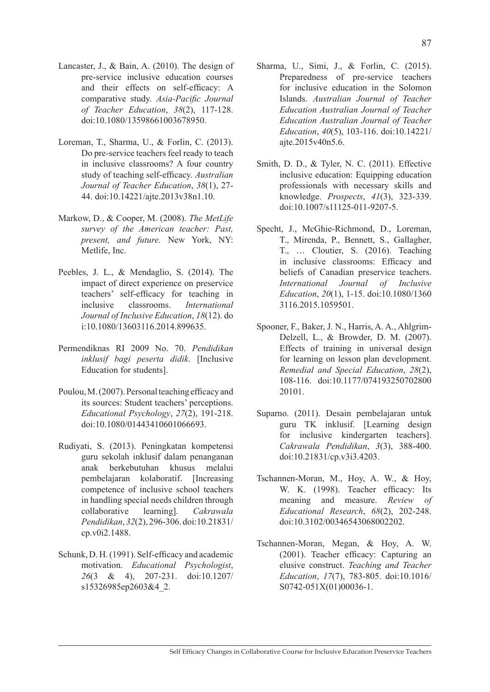- Lancaster, J., & Bain, A. (2010). The design of pre-service inclusive education courses and their effects on self-efficacy: A comparative study. *Asia-Pacific Journal of Teacher Education*, *38*(2), 117-128. doi:10.1080/13598661003678950.
- Loreman, T., Sharma, U., & Forlin, C. (2013). Do pre-service teachers feel ready to teach in inclusive classrooms? A four country study of teaching self-efficacy. *Australian Journal of Teacher Education*, *38*(1), 27- 44. doi:10.14221/ajte.2013v38n1.10.
- Markow, D., & Cooper, M. (2008). *The MetLife survey of the American teacher: Past, present, and future.* New York, NY: Metlife, Inc.
- Peebles, J. L., & Mendaglio, S. (2014). The impact of direct experience on preservice teachers' self-efficacy for teaching in inclusive classrooms. *International Journal of Inclusive Education*, *18*(12). do i:10.1080/13603116.2014.899635.
- Permendiknas RI 2009 No. 70. *Pendidikan inklusif bagi peserta didik*. [Inclusive Education for students].
- Poulou, M. (2007). Personal teaching efficacy and its sources: Student teachers' perceptions. *Educational Psychology*, *27*(2), 191-218. doi:10.1080/01443410601066693.
- Rudiyati, S. (2013). Peningkatan kompetensi guru sekolah inklusif dalam penanganan anak berkebutuhan khusus melalui pembelajaran kolaboratif. [Increasing competence of inclusive school teachers in handling special needs children through collaborative learning]. *Cakrawala Pendidikan*, *32*(2), 296-306. doi:10.21831/ cp.v0i2.1488.
- Schunk, D. H. (1991). Self-efficacy and academic motivation. *Educational Psychologist*, *26*(3 & 4), 207-231. doi:10.1207/ s15326985ep2603&4\_2.
- Sharma, U., Simi, J., & Forlin, C. (2015). Preparedness of pre-service teachers for inclusive education in the Solomon Islands. *Australian Journal of Teacher Education Australian Journal of Teacher Education Australian Journal of Teacher Education*, *40*(5), 103-116. doi:10.14221/ ajte.2015v40n5.6.
- Smith, D. D., & Tyler, N. C. (2011). Effective inclusive education: Equipping education professionals with necessary skills and knowledge. *Prospects*, *41*(3), 323-339. doi:10.1007/s11125-011-9207-5.
- Specht, J., McGhie-Richmond, D., Loreman, T., Mirenda, P., Bennett, S., Gallagher, T., … Cloutier, S. (2016). Teaching in inclusive classrooms: Efficacy and beliefs of Canadian preservice teachers. *International Journal of Inclusive Education*, *20*(1), 1-15. doi:10.1080/1360 3116.2015.1059501.
- Spooner, F., Baker, J. N., Harris, A. A., Ahlgrim-Delzell, L., & Browder, D. M. (2007). Effects of training in universal design for learning on lesson plan development. *Remedial and Special Education*, *28*(2), 108-116. doi:10.1177/074193250702800 20101.
- Suparno. (2011). Desain pembelajaran untuk guru TK inklusif. [Learning design for inclusive kindergarten teachers]. *Cakrawala Pendidikan*, *3*(3), 388-400. doi:10.21831/cp.v3i3.4203.
- Tschannen-Moran, M., Hoy, A. W., & Hoy, W. K. (1998). Teacher efficacy: Its meaning and measure. *Review of Educational Research*, *68*(2), 202-248. doi:10.3102/00346543068002202.
- Tschannen-Moran, Megan, & Hoy, A. W. (2001). Teacher efficacy: Capturing an elusive construct. *Teaching and Teacher Education*, *17*(7), 783-805. doi:10.1016/ S0742-051X(01)00036-1.